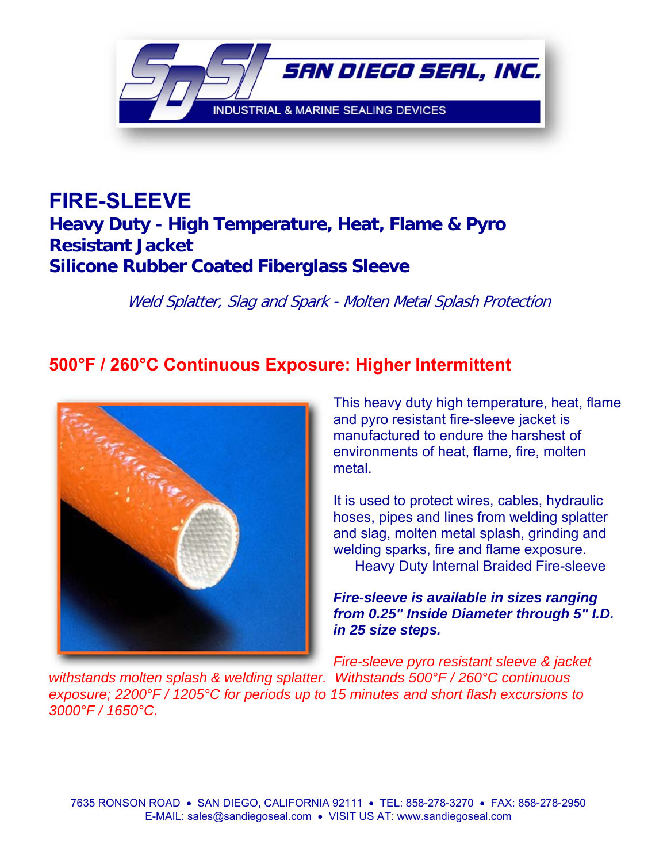

## **FIRE-SLEEVE Heavy Duty - High Temperature, Heat, Flame & Pyro Resistant Jacket Silicone Rubber Coated Fiberglass Sleeve**

Weld Splatter, Slag and Spark - Molten Metal Splash Protection

## **500°F / 260°C Continuous Exposure: Higher Intermittent**



This heavy duty high temperature, heat, flame and pyro resistant fire-sleeve jacket is manufactured to endure the harshest of environments of heat, flame, fire, molten metal.

It is used to protect wires, cables, hydraulic hoses, pipes and lines from welding splatter and slag, molten metal splash, grinding and welding sparks, fire and flame exposure. Heavy Duty Internal Braided Fire-sleeve

## *Fire-sleeve is available in sizes ranging from 0.25" Inside Diameter through 5" I.D. in 25 size steps.*

*Fire-sleeve pyro resistant sleeve & jacket withstands molten splash & welding splatter. Withstands 500°F / 260°C continuous exposure; 2200°F / 1205°C for periods up to 15 minutes and short flash excursions to 3000°F / 1650°C.*